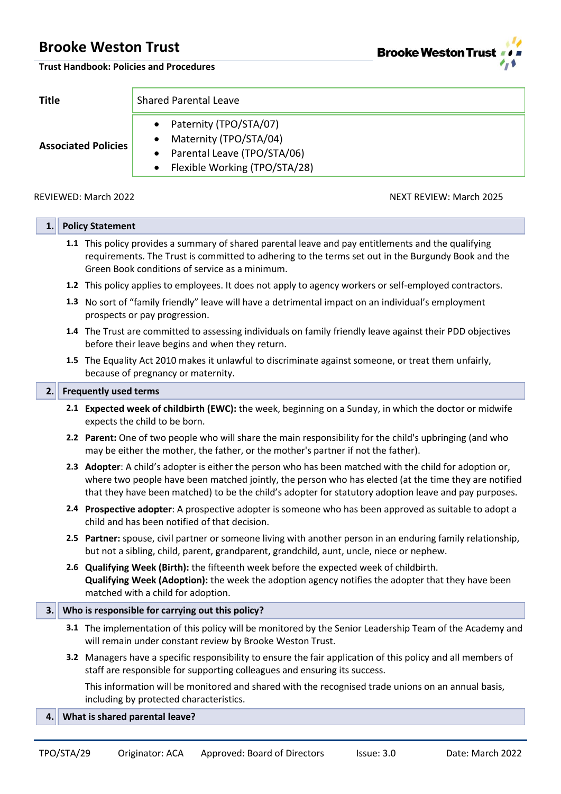**Brooke Weston Trus** 

#### **Trust Handbook: Policies and Procedures**

| <b>Title</b>               | <b>Shared Parental Leave</b>                                                                                                  |  |
|----------------------------|-------------------------------------------------------------------------------------------------------------------------------|--|
| <b>Associated Policies</b> | Paternity (TPO/STA/07)<br>Maternity (TPO/STA/04)<br>Parental Leave (TPO/STA/06)<br>$\bullet$<br>Flexible Working (TPO/STA/28) |  |

# REVIEWED: March 2022 NEXT REVIEW: March 2025

# **1. Policy Statement**

- **1.1** This policy provides a summary of shared parental leave and pay entitlements and the qualifying requirements. The Trust is committed to adhering to the terms set out in the Burgundy Book and the Green Book conditions of service as a minimum.
- **1.2** This policy applies to employees. It does not apply to agency workers or self-employed contractors.
- **1.3** No sort of "family friendly" leave will have a detrimental impact on an individual's employment prospects or pay progression.
- **1.4** The Trust are committed to assessing individuals on family friendly leave against their PDD objectives before their leave begins and when they return.
- **1.5** The Equality Act 2010 makes it unlawful to discriminate against someone, or treat them unfairly, because of pregnancy or maternity.

### **2. Frequently used terms**

- **2.1 Expected week of childbirth (EWC):** the week, beginning on a Sunday, in which the doctor or midwife expects the child to be born.
- **2.2 Parent:** One of two people who will share the main responsibility for the child's upbringing (and who may be either the mother, the father, or the mother's partner if not the father).
- **2.3 Adopter**: A child's adopter is either the person who has been matched with the child for adoption or, where two people have been matched jointly, the person who has elected (at the time they are notified that they have been matched) to be the child's adopter for statutory adoption leave and pay purposes.
- **2.4 Prospective adopter**: A prospective adopter is someone who has been approved as suitable to adopt a child and has been notified of that decision.
- **2.5 Partner:** spouse, civil partner or someone living with another person in an enduring family relationship, but not a sibling, child, parent, grandparent, grandchild, aunt, uncle, niece or nephew.
- **2.6 Qualifying Week (Birth):** the fifteenth week before the expected week of childbirth. **Qualifying Week (Adoption):** the week the adoption agency notifies the adopter that they have been matched with a child for adoption.

# **3. Who is responsible for carrying out this policy?**

- **3.1** The implementation of this policy will be monitored by the Senior Leadership Team of the Academy and will remain under constant review by Brooke Weston Trust.
- **3.2** Managers have a specific responsibility to ensure the fair application of this policy and all members of staff are responsible for supporting colleagues and ensuring its success.

This information will be monitored and shared with the recognised trade unions on an annual basis, including by protected characteristics.

**4. What is shared parental leave?**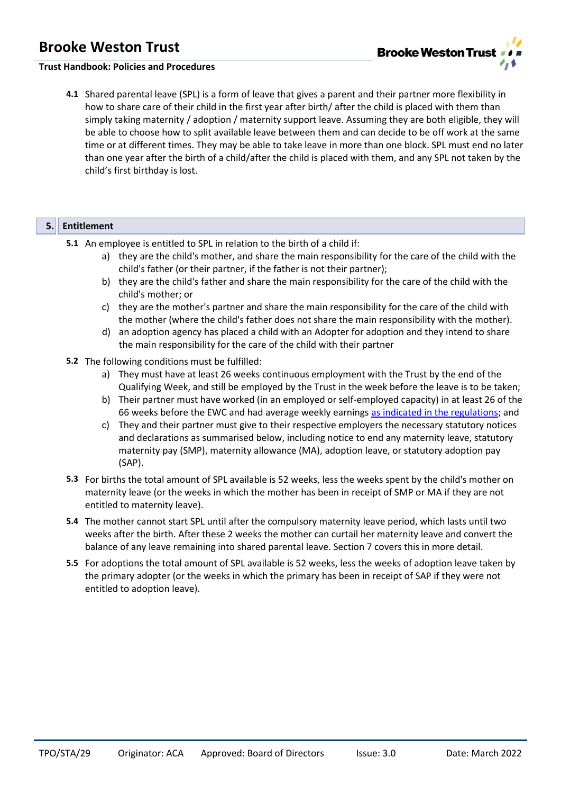

# **Trust Handbook: Policies and Procedures**

**4.1** Shared parental leave (SPL) is a form of leave that gives a parent and their partner more flexibility in how to share care of their child in the first year after birth/ after the child is placed with them than simply taking maternity / adoption / maternity support leave. Assuming they are both eligible, they will be able to choose how to split available leave between them and can decide to be off work at the same time or at different times. They may be able to take leave in more than one block. SPL must end no later than one year after the birth of a child/after the child is placed with them, and any SPL not taken by the child's first birthday is lost.

### **5. Entitlement**

- **5.1** An employee is entitled to SPL in relation to the birth of a child if:
	- a) they are the child's mother, and share the main responsibility for the care of the child with the child's father (or their partner, if the father is not their partner);
	- b) they are the child's father and share the main responsibility for the care of the child with the child's mother; or
	- c) they are the mother's partner and share the main responsibility for the care of the child with the mother (where the child's father does not share the main responsibility with the mother).
	- d) an adoption agency has placed a child with an Adopter for adoption and they intend to share the main responsibility for the care of the child with their partner
- **5.2** The following conditions must be fulfilled:
	- a) They must have at least 26 weeks continuous employment with the Trust by the end of the Qualifying Week, and still be employed by the Trust in the week before the leave is to be taken;
	- b) Their partner must have worked (in an employed or self-employed capacity) in at least 26 of the 66 weeks before the EWC and had average weekly earnings [as indicated in the regulations;](https://www.gov.uk/shared-parental-leave-and-pay) and
	- c) They and their partner must give to their respective employers the necessary statutory notices and declarations as summarised below, including notice to end any maternity leave, statutory maternity pay (SMP), maternity allowance (MA), adoption leave, or statutory adoption pay (SAP).
- **5.3** For births the total amount of SPL available is 52 weeks, less the weeks spent by the child's mother on maternity leave (or the weeks in which the mother has been in receipt of SMP or MA if they are not entitled to maternity leave).
- **5.4** The mother cannot start SPL until after the compulsory maternity leave period, which lasts until two weeks after the birth. After these 2 weeks the mother can curtail her maternity leave and convert the balance of any leave remaining into shared parental leave. Section 7 covers this in more detail.
- **5.5** For adoptions the total amount of SPL available is 52 weeks, less the weeks of adoption leave taken by the primary adopter (or the weeks in which the primary has been in receipt of SAP if they were not entitled to adoption leave).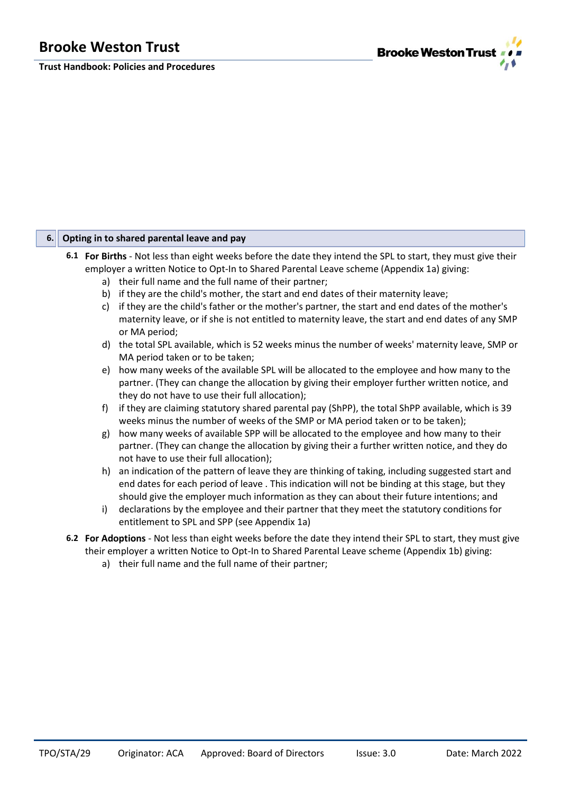**Trust Handbook: Policies and Procedures**



# **6. Opting in to shared parental leave and pay**

- **6.1 For Births** Not less than eight weeks before the date they intend the SPL to start, they must give their employer a written Notice to Opt-In to Shared Parental Leave scheme (Appendix 1a) giving:
	- a) their full name and the full name of their partner;
	- b) if they are the child's mother, the start and end dates of their maternity leave;
	- c) if they are the child's father or the mother's partner, the start and end dates of the mother's maternity leave, or if she is not entitled to maternity leave, the start and end dates of any SMP or MA period;
	- d) the total SPL available, which is 52 weeks minus the number of weeks' maternity leave, SMP or MA period taken or to be taken;
	- e) how many weeks of the available SPL will be allocated to the employee and how many to the partner. (They can change the allocation by giving their employer further written notice, and they do not have to use their full allocation);
	- f) if they are claiming statutory shared parental pay (ShPP), the total ShPP available, which is 39 weeks minus the number of weeks of the SMP or MA period taken or to be taken);
	- g) how many weeks of available SPP will be allocated to the employee and how many to their partner. (They can change the allocation by giving their a further written notice, and they do not have to use their full allocation);
	- h) an indication of the pattern of leave they are thinking of taking, including suggested start and end dates for each period of leave . This indication will not be binding at this stage, but they should give the employer much information as they can about their future intentions; and
	- i) declarations by the employee and their partner that they meet the statutory conditions for entitlement to SPL and SPP (see Appendix 1a)
- **6.2 For Adoptions**  Not less than eight weeks before the date they intend their SPL to start, they must give their employer a written Notice to Opt-In to Shared Parental Leave scheme (Appendix 1b) giving:
	- a) their full name and the full name of their partner;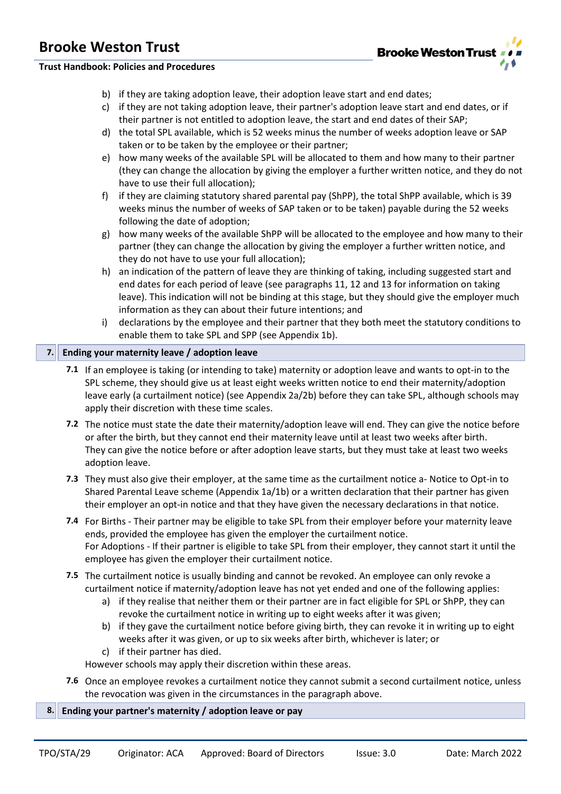

**Trust Handbook: Policies and Procedures**

- b) if they are taking adoption leave, their adoption leave start and end dates;
- c) if they are not taking adoption leave, their partner's adoption leave start and end dates, or if their partner is not entitled to adoption leave, the start and end dates of their SAP;
- d) the total SPL available, which is 52 weeks minus the number of weeks adoption leave or SAP taken or to be taken by the employee or their partner;
- e) how many weeks of the available SPL will be allocated to them and how many to their partner (they can change the allocation by giving the employer a further written notice, and they do not have to use their full allocation);
- f) if they are claiming statutory shared parental pay (ShPP), the total ShPP available, which is 39 weeks minus the number of weeks of SAP taken or to be taken) payable during the 52 weeks following the date of adoption;
- g) how many weeks of the available ShPP will be allocated to the employee and how many to their partner (they can change the allocation by giving the employer a further written notice, and they do not have to use your full allocation);
- h) an indication of the pattern of leave they are thinking of taking, including suggested start and end dates for each period of leave (see paragraphs 11, 12 and 13 for information on taking leave). This indication will not be binding at this stage, but they should give the employer much information as they can about their future intentions; and
- i) declarations by the employee and their partner that they both meet the statutory conditions to enable them to take SPL and SPP (see Appendix 1b).

# **7. Ending your maternity leave / adoption leave**

- **7.1** If an employee is taking (or intending to take) maternity or adoption leave and wants to opt-in to the SPL scheme, they should give us at least eight weeks written notice to end their maternity/adoption leave early (a curtailment notice) (see Appendix 2a/2b) before they can take SPL, although schools may apply their discretion with these time scales.
- **7.2** The notice must state the date their maternity/adoption leave will end. They can give the notice before or after the birth, but they cannot end their maternity leave until at least two weeks after birth. They can give the notice before or after adoption leave starts, but they must take at least two weeks adoption leave.
- **7.3** They must also give their employer, at the same time as the curtailment notice a- Notice to Opt-in to Shared Parental Leave scheme (Appendix 1a/1b) or a written declaration that their partner has given their employer an opt-in notice and that they have given the necessary declarations in that notice.
- **7.4** For Births Their partner may be eligible to take SPL from their employer before your maternity leave ends, provided the employee has given the employer the curtailment notice. For Adoptions - If their partner is eligible to take SPL from their employer, they cannot start it until the employee has given the employer their curtailment notice.
- **7.5** The curtailment notice is usually binding and cannot be revoked. An employee can only revoke a curtailment notice if maternity/adoption leave has not yet ended and one of the following applies:
	- a) if they realise that neither them or their partner are in fact eligible for SPL or ShPP, they can revoke the curtailment notice in writing up to eight weeks after it was given;
	- b) if they gave the curtailment notice before giving birth, they can revoke it in writing up to eight weeks after it was given, or up to six weeks after birth, whichever is later; or
	- c) if their partner has died.

However schools may apply their discretion within these areas.

- **7.6** Once an employee revokes a curtailment notice they cannot submit a second curtailment notice, unless the revocation was given in the circumstances in the paragraph above.
- **8. Ending your partner's maternity / adoption leave or pay**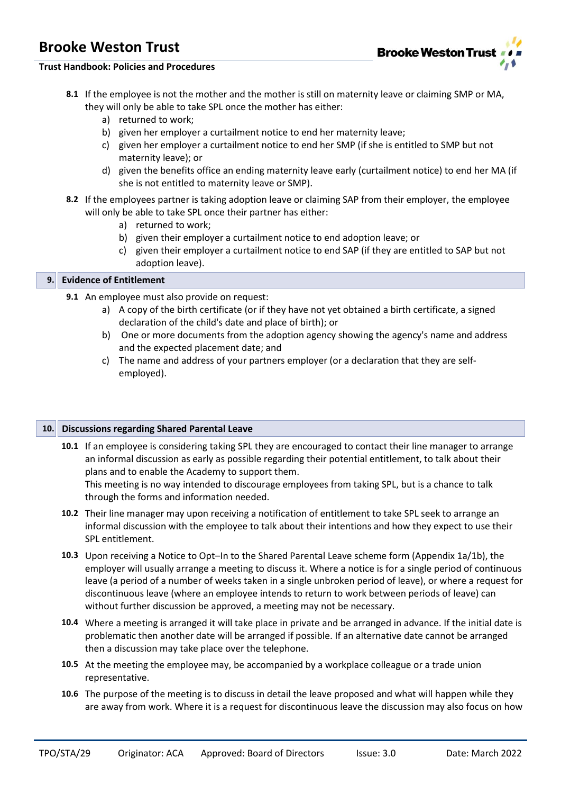

# **Trust Handbook: Policies and Procedures**

- **8.1** If the employee is not the mother and the mother is still on maternity leave or claiming SMP or MA, they will only be able to take SPL once the mother has either:
	- a) returned to work;
	- b) given her employer a curtailment notice to end her maternity leave;
	- c) given her employer a curtailment notice to end her SMP (if she is entitled to SMP but not maternity leave); or
	- d) given the benefits office an ending maternity leave early (curtailment notice) to end her MA (if she is not entitled to maternity leave or SMP).
- **8.2** If the employees partner is taking adoption leave or claiming SAP from their employer, the employee will only be able to take SPL once their partner has either:
	- a) returned to work;
	- b) given their employer a curtailment notice to end adoption leave; or
	- c) given their employer a curtailment notice to end SAP (if they are entitled to SAP but not adoption leave).

### **9. Evidence of Entitlement**

- **9.1** An employee must also provide on request:
	- a) A copy of the birth certificate (or if they have not yet obtained a birth certificate, a signed declaration of the child's date and place of birth); or
	- b) One or more documents from the adoption agency showing the agency's name and address and the expected placement date; and
	- c) The name and address of your partners employer (or a declaration that they are selfemployed).

# **10. Discussions regarding Shared Parental Leave**

- **10.1** If an employee is considering taking SPL they are encouraged to contact their line manager to arrange an informal discussion as early as possible regarding their potential entitlement, to talk about their plans and to enable the Academy to support them. This meeting is no way intended to discourage employees from taking SPL, but is a chance to talk through the forms and information needed.
- **10.2** Their line manager may upon receiving a notification of entitlement to take SPL seek to arrange an informal discussion with the employee to talk about their intentions and how they expect to use their SPL entitlement.
- **10.3** Upon receiving a Notice to Opt–In to the Shared Parental Leave scheme form (Appendix 1a/1b), the employer will usually arrange a meeting to discuss it. Where a notice is for a single period of continuous leave (a period of a number of weeks taken in a single unbroken period of leave), or where a request for discontinuous leave (where an employee intends to return to work between periods of leave) can without further discussion be approved, a meeting may not be necessary.
- **10.4** Where a meeting is arranged it will take place in private and be arranged in advance. If the initial date is problematic then another date will be arranged if possible. If an alternative date cannot be arranged then a discussion may take place over the telephone.
- **10.5** At the meeting the employee may, be accompanied by a workplace colleague or a trade union representative.
- **10.6** The purpose of the meeting is to discuss in detail the leave proposed and what will happen while they are away from work. Where it is a request for discontinuous leave the discussion may also focus on how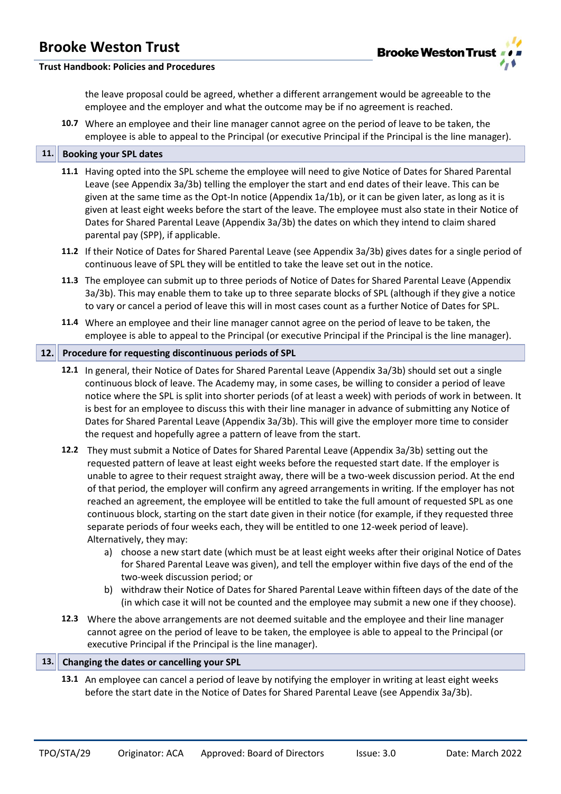

# **Trust Handbook: Policies and Procedures**

the leave proposal could be agreed, whether a different arrangement would be agreeable to the employee and the employer and what the outcome may be if no agreement is reached.

**10.7** Where an employee and their line manager cannot agree on the period of leave to be taken, the employee is able to appeal to the Principal (or executive Principal if the Principal is the line manager).

# **11. Booking your SPL dates**

- **11.1** Having opted into the SPL scheme the employee will need to give Notice of Dates for Shared Parental Leave (see Appendix 3a/3b) telling the employer the start and end dates of their leave. This can be given at the same time as the Opt-In notice (Appendix 1a/1b), or it can be given later, as long as it is given at least eight weeks before the start of the leave. The employee must also state in their Notice of Dates for Shared Parental Leave (Appendix 3a/3b) the dates on which they intend to claim shared parental pay (SPP), if applicable.
- **11.2** If their Notice of Dates for Shared Parental Leave (see Appendix 3a/3b) gives dates for a single period of continuous leave of SPL they will be entitled to take the leave set out in the notice.
- **11.3** The employee can submit up to three periods of Notice of Dates for Shared Parental Leave (Appendix 3a/3b). This may enable them to take up to three separate blocks of SPL (although if they give a notice to vary or cancel a period of leave this will in most cases count as a further Notice of Dates for SPL.
- **11.4** Where an employee and their line manager cannot agree on the period of leave to be taken, the employee is able to appeal to the Principal (or executive Principal if the Principal is the line manager).

### **12. Procedure for requesting discontinuous periods of SPL**

- **12.1** In general, their Notice of Dates for Shared Parental Leave (Appendix 3a/3b) should set out a single continuous block of leave. The Academy may, in some cases, be willing to consider a period of leave notice where the SPL is split into shorter periods (of at least a week) with periods of work in between. It is best for an employee to discuss this with their line manager in advance of submitting any Notice of Dates for Shared Parental Leave (Appendix 3a/3b). This will give the employer more time to consider the request and hopefully agree a pattern of leave from the start.
- **12.2** They must submit a Notice of Dates for Shared Parental Leave (Appendix 3a/3b) setting out the requested pattern of leave at least eight weeks before the requested start date. If the employer is unable to agree to their request straight away, there will be a two-week discussion period. At the end of that period, the employer will confirm any agreed arrangements in writing. If the employer has not reached an agreement, the employee will be entitled to take the full amount of requested SPL as one continuous block, starting on the start date given in their notice (for example, if they requested three separate periods of four weeks each, they will be entitled to one 12-week period of leave). Alternatively, they may:
	- a) choose a new start date (which must be at least eight weeks after their original Notice of Dates for Shared Parental Leave was given), and tell the employer within five days of the end of the two-week discussion period; or
	- b) withdraw their Notice of Dates for Shared Parental Leave within fifteen days of the date of the (in which case it will not be counted and the employee may submit a new one if they choose).
- **12.3** Where the above arrangements are not deemed suitable and the employee and their line manager cannot agree on the period of leave to be taken, the employee is able to appeal to the Principal (or executive Principal if the Principal is the line manager).

### **13. Changing the dates or cancelling your SPL**

**13.1** An employee can cancel a period of leave by notifying the employer in writing at least eight weeks before the start date in the Notice of Dates for Shared Parental Leave (see Appendix 3a/3b).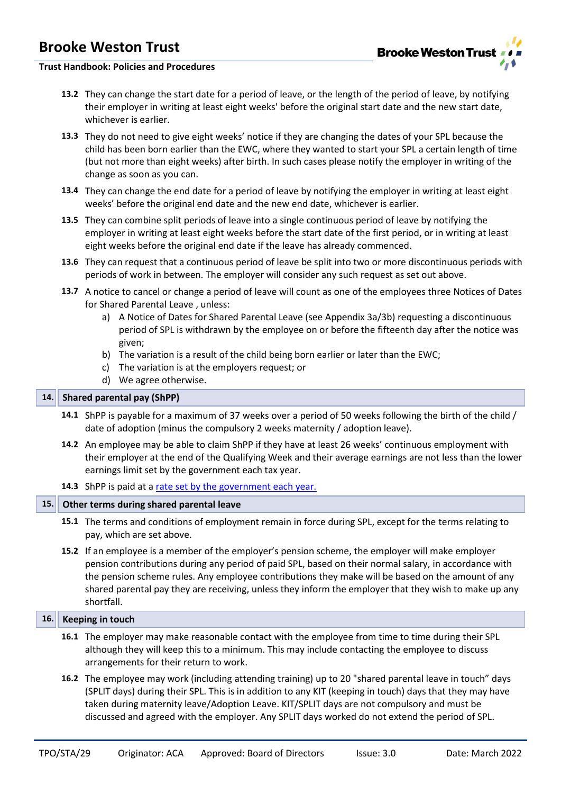

### **Trust Handbook: Policies and Procedures**

- **13.2** They can change the start date for a period of leave, or the length of the period of leave, by notifying their employer in writing at least eight weeks' before the original start date and the new start date, whichever is earlier.
- **13.3** They do not need to give eight weeks' notice if they are changing the dates of your SPL because the child has been born earlier than the EWC, where they wanted to start your SPL a certain length of time (but not more than eight weeks) after birth. In such cases please notify the employer in writing of the change as soon as you can.
- **13.4** They can change the end date for a period of leave by notifying the employer in writing at least eight weeks' before the original end date and the new end date, whichever is earlier.
- **13.5** They can combine split periods of leave into a single continuous period of leave by notifying the employer in writing at least eight weeks before the start date of the first period, or in writing at least eight weeks before the original end date if the leave has already commenced.
- **13.6** They can request that a continuous period of leave be split into two or more discontinuous periods with periods of work in between. The employer will consider any such request as set out above.
- **13.7** A notice to cancel or change a period of leave will count as one of the employees three Notices of Dates for Shared Parental Leave , unless:
	- a) A Notice of Dates for Shared Parental Leave (see Appendix 3a/3b) requesting a discontinuous period of SPL is withdrawn by the employee on or before the fifteenth day after the notice was given;
	- b) The variation is a result of the child being born earlier or later than the EWC;
	- c) The variation is at the employers request; or
	- d) We agree otherwise.

# **14. Shared parental pay (ShPP)**

- **14.1** ShPP is payable for a maximum of 37 weeks over a period of 50 weeks following the birth of the child / date of adoption (minus the compulsory 2 weeks maternity / adoption leave).
- **14.2** An employee may be able to claim ShPP if they have at least 26 weeks' continuous employment with their employer at the end of the Qualifying Week and their average earnings are not less than the lower earnings limit set by the government each tax year.

**14.3** ShPP is paid at a [rate set by the government each year.](https://www.gov.uk/shared-parental-leave-and-pay/what-youll-get)

# **15. Other terms during shared parental leave**

- **15.1** The terms and conditions of employment remain in force during SPL, except for the terms relating to pay, which are set above.
- **15.2** If an employee is a member of the employer's pension scheme, the employer will make employer pension contributions during any period of paid SPL, based on their normal salary, in accordance with the pension scheme rules. Any employee contributions they make will be based on the amount of any shared parental pay they are receiving, unless they inform the employer that they wish to make up any shortfall.

# **16. Keeping in touch**

- **16.1** The employer may make reasonable contact with the employee from time to time during their SPL although they will keep this to a minimum. This may include contacting the employee to discuss arrangements for their return to work.
- **16.2** The employee may work (including attending training) up to 20 "shared parental leave in touch" days (SPLIT days) during their SPL. This is in addition to any KIT (keeping in touch) days that they may have taken during maternity leave/Adoption Leave. KIT/SPLIT days are not compulsory and must be discussed and agreed with the employer. Any SPLIT days worked do not extend the period of SPL.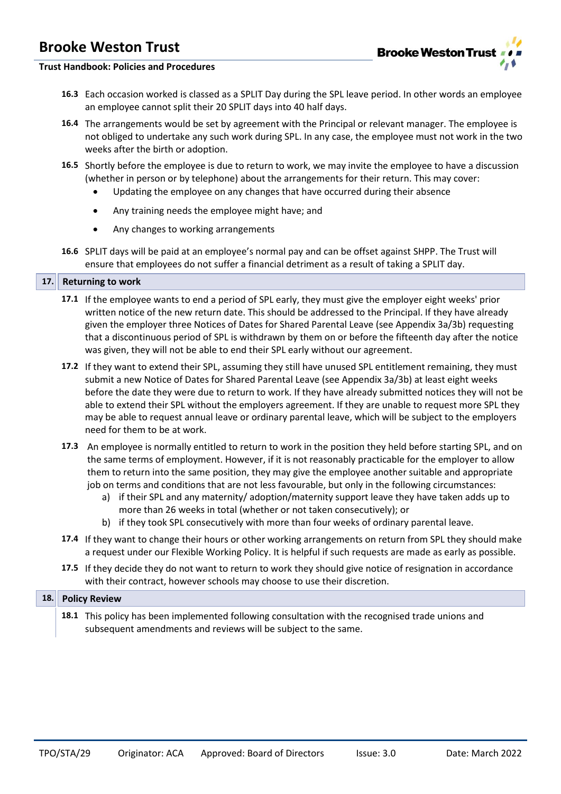

# **Trust Handbook: Policies and Procedures**

- **16.3** Each occasion worked is classed as a SPLIT Day during the SPL leave period. In other words an employee an employee cannot split their 20 SPLIT days into 40 half days.
- **16.4** The arrangements would be set by agreement with the Principal or relevant manager. The employee is not obliged to undertake any such work during SPL. In any case, the employee must not work in the two weeks after the birth or adoption.
- **16.5** Shortly before the employee is due to return to work, we may invite the employee to have a discussion (whether in person or by telephone) about the arrangements for their return. This may cover:
	- Updating the employee on any changes that have occurred during their absence
	- Any training needs the employee might have; and
	- Any changes to working arrangements
- **16.6** SPLIT days will be paid at an employee's normal pay and can be offset against SHPP. The Trust will ensure that employees do not suffer a financial detriment as a result of taking a SPLIT day.

#### **17. Returning to work**

- **17.1** If the employee wants to end a period of SPL early, they must give the employer eight weeks' prior written notice of the new return date. This should be addressed to the Principal. If they have already given the employer three Notices of Dates for Shared Parental Leave (see Appendix 3a/3b) requesting that a discontinuous period of SPL is withdrawn by them on or before the fifteenth day after the notice was given, they will not be able to end their SPL early without our agreement.
- **17.2** If they want to extend their SPL, assuming they still have unused SPL entitlement remaining, they must submit a new Notice of Dates for Shared Parental Leave (see Appendix 3a/3b) at least eight weeks before the date they were due to return to work. If they have already submitted notices they will not be able to extend their SPL without the employers agreement. If they are unable to request more SPL they may be able to request annual leave or ordinary parental leave, which will be subject to the employers need for them to be at work.
- **17.3** An employee is normally entitled to return to work in the position they held before starting SPL, and on the same terms of employment. However, if it is not reasonably practicable for the employer to allow them to return into the same position, they may give the employee another suitable and appropriate job on terms and conditions that are not less favourable, but only in the following circumstances:
	- a) if their SPL and any maternity/ adoption/maternity support leave they have taken adds up to more than 26 weeks in total (whether or not taken consecutively); or
	- b) if they took SPL consecutively with more than four weeks of ordinary parental leave.
- **17.4** If they want to change their hours or other working arrangements on return from SPL they should make a request under our Flexible Working Policy. It is helpful if such requests are made as early as possible.
- **17.5** If they decide they do not want to return to work they should give notice of resignation in accordance with their contract, however schools may choose to use their discretion.

#### **18. Policy Review**

**18.1** This policy has been implemented following consultation with the recognised trade unions and subsequent amendments and reviews will be subject to the same.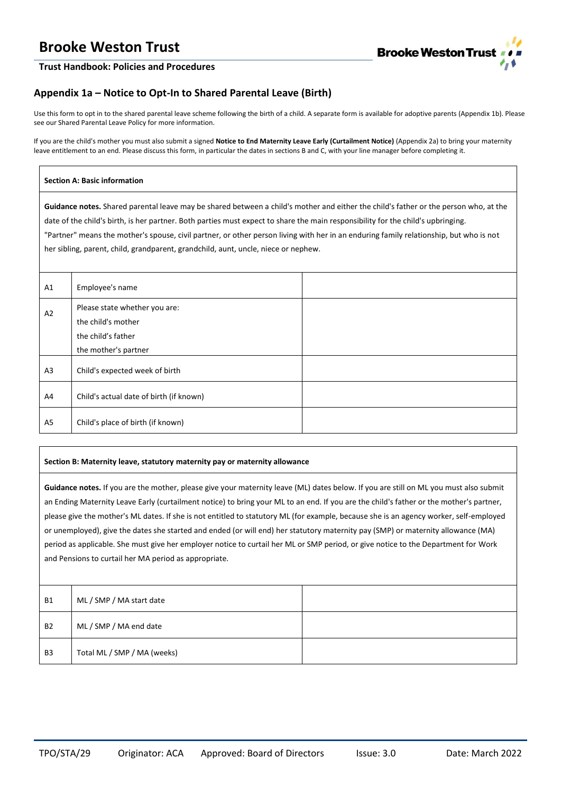

#### **Trust Handbook: Policies and Procedures**

# **Appendix 1a – Notice to Opt-In to Shared Parental Leave (Birth)**

Use this form to opt in to the shared parental leave scheme following the birth of a child. A separate form is available for adoptive parents (Appendix 1b). Please see our Shared Parental Leave Policy for more information.

If you are the child's mother you must also submit a signed **Notice to End Maternity Leave Early (Curtailment Notice)** (Appendix 2a) to bring your maternity leave entitlement to an end. Please discuss this form, in particular the dates in sections B and C, with your line manager before completing it.

#### **Section A: Basic information**

**Guidance notes.** Shared parental leave may be shared between a child's mother and either the child's father or the person who, at the date of the child's birth, is her partner. Both parties must expect to share the main responsibility for the child's upbringing.

"Partner" means the mother's spouse, civil partner, or other person living with her in an enduring family relationship, but who is not her sibling, parent, child, grandparent, grandchild, aunt, uncle, niece or nephew.

| A1 | Employee's name                                                           |  |
|----|---------------------------------------------------------------------------|--|
| A2 | Please state whether you are:<br>the child's mother<br>the child's father |  |
|    | the mother's partner                                                      |  |
| A3 | Child's expected week of birth                                            |  |
| A4 | Child's actual date of birth (if known)                                   |  |
| A5 | Child's place of birth (if known)                                         |  |

#### **Section B: Maternity leave, statutory maternity pay or maternity allowance**

**Guidance notes.** If you are the mother, please give your maternity leave (ML) dates below. If you are still on ML you must also submit an Ending Maternity Leave Early (curtailment notice) to bring your ML to an end. If you are the child's father or the mother's partner, please give the mother's ML dates. If she is not entitled to statutory ML (for example, because she is an agency worker, self-employed or unemployed), give the dates she started and ended (or will end) her statutory maternity pay (SMP) or maternity allowance (MA) period as applicable. She must give her employer notice to curtail her ML or SMP period, or give notice to the Department for Work and Pensions to curtail her MA period as appropriate.

| <b>B1</b>      | ML / SMP / MA start date    |  |
|----------------|-----------------------------|--|
| <b>B2</b>      | ML / SMP / MA end date      |  |
| B <sub>3</sub> | Total ML / SMP / MA (weeks) |  |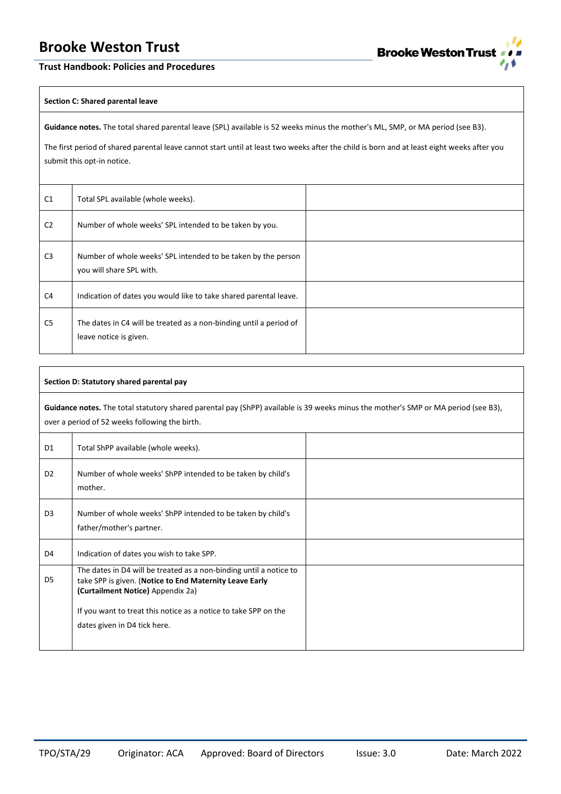

### **Trust Handbook: Policies and Procedures**

#### **Section C: Shared parental leave**

**Guidance notes.** The total shared parental leave (SPL) available is 52 weeks minus the mother's ML, SMP, or MA period (see B3).

The first period of shared parental leave cannot start until at least two weeks after the child is born and at least eight weeks after you submit this opt-in notice.

| C <sub>1</sub> | Total SPL available (whole weeks).                                                           |  |
|----------------|----------------------------------------------------------------------------------------------|--|
| C <sub>2</sub> | Number of whole weeks' SPL intended to be taken by you.                                      |  |
| C <sub>3</sub> | Number of whole weeks' SPL intended to be taken by the person<br>you will share SPL with.    |  |
| C4             | Indication of dates you would like to take shared parental leave.                            |  |
| C <sub>5</sub> | The dates in C4 will be treated as a non-binding until a period of<br>leave notice is given. |  |

| Section D: Statutory shared parental pay                                                                                                                                             |                                                                                                                                                                                                                                                                       |  |
|--------------------------------------------------------------------------------------------------------------------------------------------------------------------------------------|-----------------------------------------------------------------------------------------------------------------------------------------------------------------------------------------------------------------------------------------------------------------------|--|
| Guidance notes. The total statutory shared parental pay (ShPP) available is 39 weeks minus the mother's SMP or MA period (see B3),<br>over a period of 52 weeks following the birth. |                                                                                                                                                                                                                                                                       |  |
| D <sub>1</sub>                                                                                                                                                                       | Total ShPP available (whole weeks).                                                                                                                                                                                                                                   |  |
| D <sub>2</sub>                                                                                                                                                                       | Number of whole weeks' ShPP intended to be taken by child's<br>mother.                                                                                                                                                                                                |  |
| D <sub>3</sub>                                                                                                                                                                       | Number of whole weeks' ShPP intended to be taken by child's<br>father/mother's partner.                                                                                                                                                                               |  |
| D4                                                                                                                                                                                   | Indication of dates you wish to take SPP.                                                                                                                                                                                                                             |  |
| D <sub>5</sub>                                                                                                                                                                       | The dates in D4 will be treated as a non-binding until a notice to<br>take SPP is given. (Notice to End Maternity Leave Early<br>(Curtailment Notice) Appendix 2a)<br>If you want to treat this notice as a notice to take SPP on the<br>dates given in D4 tick here. |  |
|                                                                                                                                                                                      |                                                                                                                                                                                                                                                                       |  |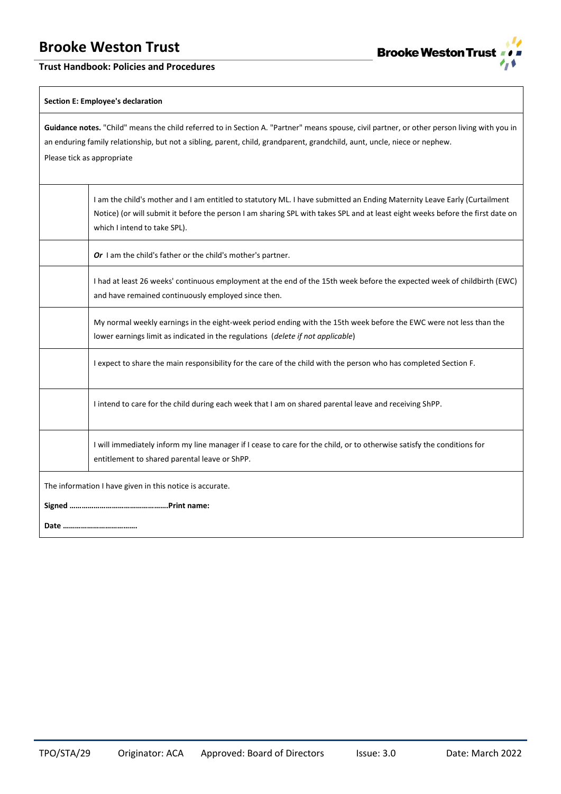**Trust Handbook: Policies and Procedures**



### **Section E: Employee's declaration**

| Guidance notes. "Child" means the child referred to in Section A. "Partner" means spouse, civil partner, or other person living with you in<br>an enduring family relationship, but not a sibling, parent, child, grandparent, grandchild, aunt, uncle, niece or nephew.<br>Please tick as appropriate |                                                                                                                                                                                                                                                                                            |  |
|--------------------------------------------------------------------------------------------------------------------------------------------------------------------------------------------------------------------------------------------------------------------------------------------------------|--------------------------------------------------------------------------------------------------------------------------------------------------------------------------------------------------------------------------------------------------------------------------------------------|--|
|                                                                                                                                                                                                                                                                                                        | I am the child's mother and I am entitled to statutory ML. I have submitted an Ending Maternity Leave Early (Curtailment<br>Notice) (or will submit it before the person I am sharing SPL with takes SPL and at least eight weeks before the first date on<br>which I intend to take SPL). |  |
|                                                                                                                                                                                                                                                                                                        | Or I am the child's father or the child's mother's partner.                                                                                                                                                                                                                                |  |
|                                                                                                                                                                                                                                                                                                        | I had at least 26 weeks' continuous employment at the end of the 15th week before the expected week of childbirth (EWC)<br>and have remained continuously employed since then.                                                                                                             |  |
|                                                                                                                                                                                                                                                                                                        | My normal weekly earnings in the eight-week period ending with the 15th week before the EWC were not less than the<br>lower earnings limit as indicated in the regulations (delete if not applicable)                                                                                      |  |
|                                                                                                                                                                                                                                                                                                        | I expect to share the main responsibility for the care of the child with the person who has completed Section F.                                                                                                                                                                           |  |
|                                                                                                                                                                                                                                                                                                        | I intend to care for the child during each week that I am on shared parental leave and receiving ShPP.                                                                                                                                                                                     |  |
|                                                                                                                                                                                                                                                                                                        | I will immediately inform my line manager if I cease to care for the child, or to otherwise satisfy the conditions for<br>entitlement to shared parental leave or ShPP.                                                                                                                    |  |
| The information I have given in this notice is accurate.                                                                                                                                                                                                                                               |                                                                                                                                                                                                                                                                                            |  |
|                                                                                                                                                                                                                                                                                                        |                                                                                                                                                                                                                                                                                            |  |
|                                                                                                                                                                                                                                                                                                        |                                                                                                                                                                                                                                                                                            |  |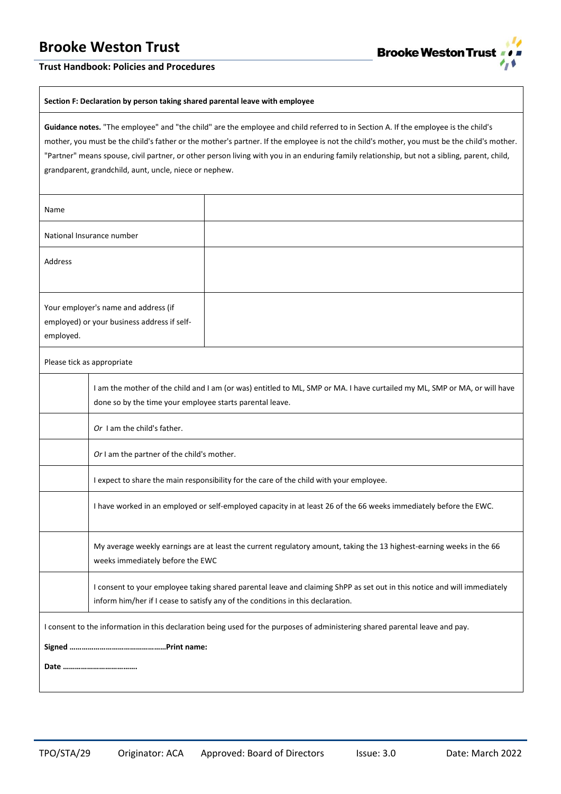

### **Trust Handbook: Policies and Procedures**

#### **Section F: Declaration by person taking shared parental leave with employee**

**Guidance notes.** "The employee" and "the child" are the employee and child referred to in Section A. If the employee is the child's mother, you must be the child's father or the mother's partner. If the employee is not the child's mother, you must be the child's mother. "Partner" means spouse, civil partner, or other person living with you in an enduring family relationship, but not a sibling, parent, child, grandparent, grandchild, aunt, uncle, niece or nephew.

| Name                                                                                                                         |                                                                                                                                                                                                             |  |
|------------------------------------------------------------------------------------------------------------------------------|-------------------------------------------------------------------------------------------------------------------------------------------------------------------------------------------------------------|--|
|                                                                                                                              | National Insurance number                                                                                                                                                                                   |  |
| Address                                                                                                                      |                                                                                                                                                                                                             |  |
| Your employer's name and address (if<br>employed) or your business address if self-<br>employed.                             |                                                                                                                                                                                                             |  |
|                                                                                                                              | Please tick as appropriate                                                                                                                                                                                  |  |
|                                                                                                                              | I am the mother of the child and I am (or was) entitled to ML, SMP or MA. I have curtailed my ML, SMP or MA, or will have<br>done so by the time your employee starts parental leave.                       |  |
|                                                                                                                              | Or I am the child's father.                                                                                                                                                                                 |  |
|                                                                                                                              | Or I am the partner of the child's mother.                                                                                                                                                                  |  |
|                                                                                                                              | I expect to share the main responsibility for the care of the child with your employee.                                                                                                                     |  |
|                                                                                                                              | I have worked in an employed or self-employed capacity in at least 26 of the 66 weeks immediately before the EWC.                                                                                           |  |
|                                                                                                                              | My average weekly earnings are at least the current regulatory amount, taking the 13 highest-earning weeks in the 66<br>weeks immediately before the EWC                                                    |  |
|                                                                                                                              | I consent to your employee taking shared parental leave and claiming ShPP as set out in this notice and will immediately<br>inform him/her if I cease to satisfy any of the conditions in this declaration. |  |
| I consent to the information in this declaration being used for the purposes of administering shared parental leave and pay. |                                                                                                                                                                                                             |  |
|                                                                                                                              |                                                                                                                                                                                                             |  |
|                                                                                                                              |                                                                                                                                                                                                             |  |
|                                                                                                                              |                                                                                                                                                                                                             |  |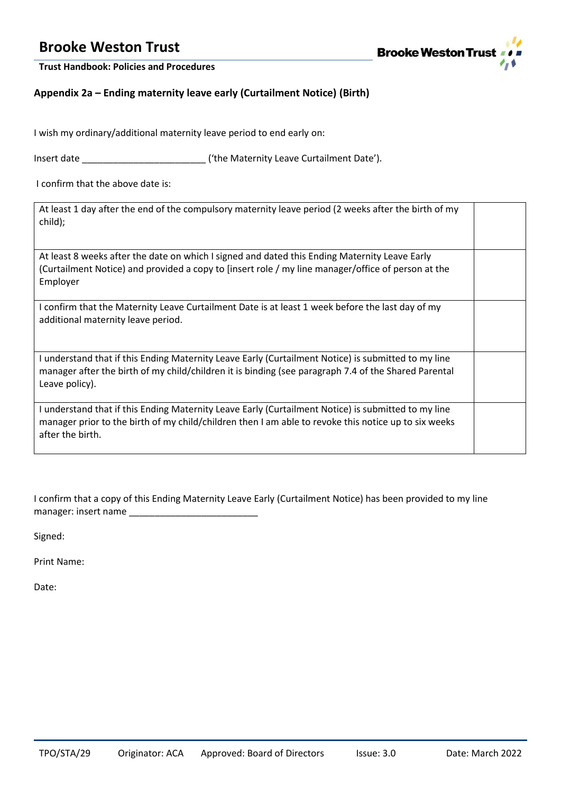

**Trust Handbook: Policies and Procedures**

# **Appendix 2a – Ending maternity leave early (Curtailment Notice) (Birth)**

I wish my ordinary/additional maternity leave period to end early on:

Insert date **Insert date Insert date**  $(4)$  the Maternity Leave Curtailment Date').

I confirm that the above date is:

At least 1 day after the end of the compulsory maternity leave period (2 weeks after the birth of my child);

At least 8 weeks after the date on which I signed and dated this Ending Maternity Leave Early (Curtailment Notice) and provided a copy to [insert role / my line manager/office of person at the Employer

I confirm that the Maternity Leave Curtailment Date is at least 1 week before the last day of my additional maternity leave period.

I understand that if this Ending Maternity Leave Early (Curtailment Notice) is submitted to my line manager after the birth of my child/children it is binding (see paragraph 7.4 of the Shared Parental Leave policy).

I understand that if this Ending Maternity Leave Early (Curtailment Notice) is submitted to my line manager prior to the birth of my child/children then I am able to revoke this notice up to six weeks after the birth.

I confirm that a copy of this Ending Maternity Leave Early (Curtailment Notice) has been provided to my line manager: insert name

Signed:

Print Name:

Date: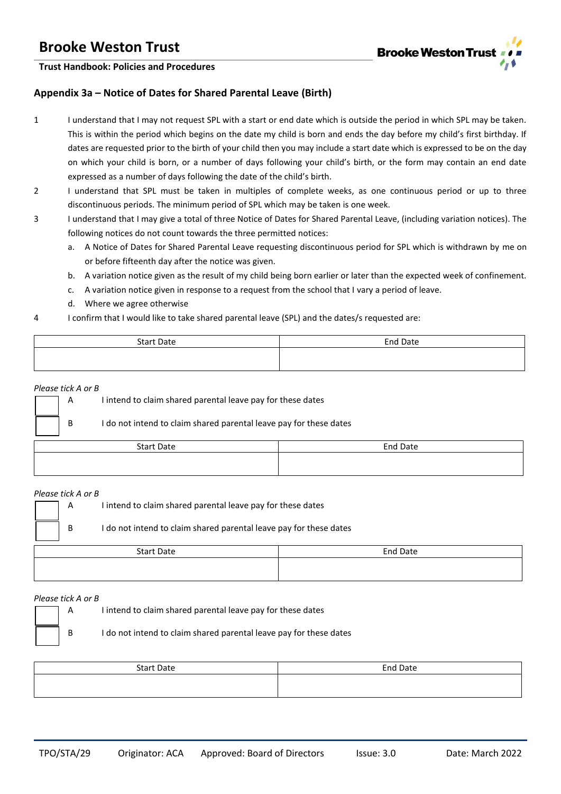

**Trust Handbook: Policies and Procedures**

# **Appendix 3a – Notice of Dates for Shared Parental Leave (Birth)**

- 1 I understand that I may not request SPL with a start or end date which is outside the period in which SPL may be taken. This is within the period which begins on the date my child is born and ends the day before my child's first birthday. If dates are requested prior to the birth of your child then you may include a start date which is expressed to be on the day on which your child is born, or a number of days following your child's birth, or the form may contain an end date expressed as a number of days following the date of the child's birth.
- 2 I understand that SPL must be taken in multiples of complete weeks, as one continuous period or up to three discontinuous periods. The minimum period of SPL which may be taken is one week.
- 3 I understand that I may give a total of three Notice of Dates for Shared Parental Leave, (including variation notices). The following notices do not count towards the three permitted notices:
	- a. A Notice of Dates for Shared Parental Leave requesting discontinuous period for SPL which is withdrawn by me on or before fifteenth day after the notice was given.
	- b. A variation notice given as the result of my child being born earlier or later than the expected week of confinement.
	- c. A variation notice given in response to a request from the school that I vary a period of leave.
	- d. Where we agree otherwise
- 4 I confirm that I would like to take shared parental leave (SPL) and the dates/s requested are:

| <b>Start Date</b> | <b>End Date</b> |
|-------------------|-----------------|
|                   |                 |
|                   |                 |

#### *Please tick A or B*

A I intend to claim shared parental leave pay for these dates

|                   | B | I do not intend to claim shared parental leave pay for these dates |          |
|-------------------|---|--------------------------------------------------------------------|----------|
| <b>Start Date</b> |   |                                                                    | End Date |
|                   |   |                                                                    |          |

#### *Please tick A or B*

A I intend to claim shared parental leave pay for these dates B I do not intend to claim shared parental leave pay for these dates

| <b>Start Date</b> | <b>End Date</b> |
|-------------------|-----------------|
|                   |                 |

#### *Please tick A or B*

A I intend to claim shared parental leave pay for these dates

B I do not intend to claim shared parental leave pay for these dates

| <b>Start Date</b> | End Date |
|-------------------|----------|
|                   |          |
|                   |          |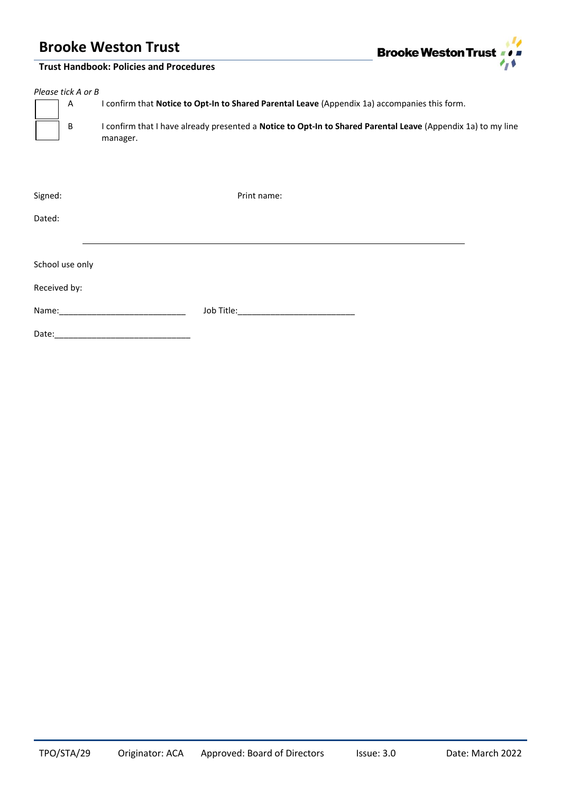**Trust Handbook: Policies and Procedures**



| Please tick A or B<br>A<br>B    | I confirm that Notice to Opt-In to Shared Parental Leave (Appendix 1a) accompanies this form.<br>I confirm that I have already presented a Notice to Opt-In to Shared Parental Leave (Appendix 1a) to my line<br>manager. |  |
|---------------------------------|---------------------------------------------------------------------------------------------------------------------------------------------------------------------------------------------------------------------------|--|
| Signed:<br>Dated:               | Print name:                                                                                                                                                                                                               |  |
| School use only<br>Received by: |                                                                                                                                                                                                                           |  |
| Date:                           | Job Title:_________________________________                                                                                                                                                                               |  |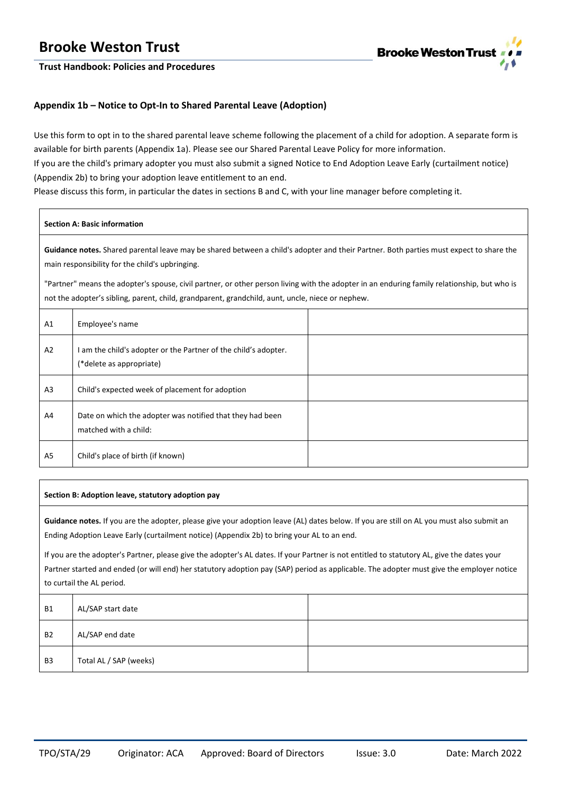

**Trust Handbook: Policies and Procedures**

# **Appendix 1b – Notice to Opt-In to Shared Parental Leave (Adoption)**

Use this form to opt in to the shared parental leave scheme following the placement of a child for adoption. A separate form is available for birth parents (Appendix 1a). Please see our Shared Parental Leave Policy for more information. If you are the child's primary adopter you must also submit a signed Notice to End Adoption Leave Early (curtailment notice) (Appendix 2b) to bring your adoption leave entitlement to an end.

Please discuss this form, in particular the dates in sections B and C, with your line manager before completing it.

#### **Section A: Basic information**

**Guidance notes.** Shared parental leave may be shared between a child's adopter and their Partner. Both parties must expect to share the main responsibility for the child's upbringing.

"Partner" means the adopter's spouse, civil partner, or other person living with the adopter in an enduring family relationship, but who is not the adopter's sibling, parent, child, grandparent, grandchild, aunt, uncle, niece or nephew.

| A <sub>1</sub> | Employee's name                                                                             |  |
|----------------|---------------------------------------------------------------------------------------------|--|
| A <sub>2</sub> | I am the child's adopter or the Partner of the child's adopter.<br>(*delete as appropriate) |  |
| A <sub>3</sub> | Child's expected week of placement for adoption                                             |  |
| A4             | Date on which the adopter was notified that they had been<br>matched with a child:          |  |
| A <sub>5</sub> | Child's place of birth (if known)                                                           |  |

#### **Section B: Adoption leave, statutory adoption pay**

**Guidance notes.** If you are the adopter, please give your adoption leave (AL) dates below. If you are still on AL you must also submit an Ending Adoption Leave Early (curtailment notice) (Appendix 2b) to bring your AL to an end.

If you are the adopter's Partner, please give the adopter's AL dates. If your Partner is not entitled to statutory AL, give the dates your Partner started and ended (or will end) her statutory adoption pay (SAP) period as applicable. The adopter must give the employer notice to curtail the AL period.

| <b>B1</b>      | AL/SAP start date      |  |
|----------------|------------------------|--|
| <b>B2</b>      | AL/SAP end date        |  |
| B <sub>3</sub> | Total AL / SAP (weeks) |  |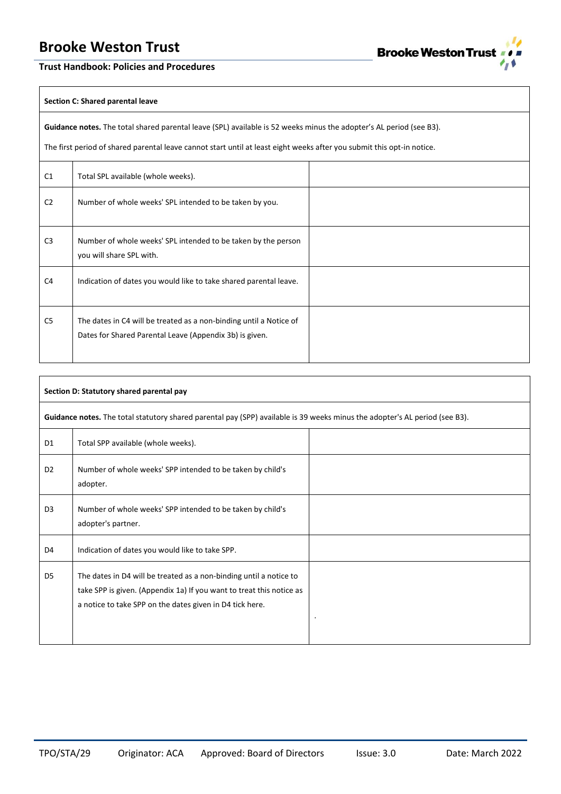

### **Trust Handbook: Policies and Procedures**

#### **Section C: Shared parental leave**

**Guidance notes.** The total shared parental leave (SPL) available is 52 weeks minus the adopter's AL period (see B3).

The first period of shared parental leave cannot start until at least eight weeks after you submit this opt-in notice.

| C1             | Total SPL available (whole weeks).                                                                                            |  |
|----------------|-------------------------------------------------------------------------------------------------------------------------------|--|
| C <sub>2</sub> | Number of whole weeks' SPL intended to be taken by you.                                                                       |  |
| C <sub>3</sub> | Number of whole weeks' SPL intended to be taken by the person<br>you will share SPL with.                                     |  |
| C <sub>4</sub> | Indication of dates you would like to take shared parental leave.                                                             |  |
| C <sub>5</sub> | The dates in C4 will be treated as a non-binding until a Notice of<br>Dates for Shared Parental Leave (Appendix 3b) is given. |  |

| Section D: Statutory shared parental pay                                                                                    |                                                                                                                                                                                                        |  |  |
|-----------------------------------------------------------------------------------------------------------------------------|--------------------------------------------------------------------------------------------------------------------------------------------------------------------------------------------------------|--|--|
| Guidance notes. The total statutory shared parental pay (SPP) available is 39 weeks minus the adopter's AL period (see B3). |                                                                                                                                                                                                        |  |  |
| D <sub>1</sub>                                                                                                              | Total SPP available (whole weeks).                                                                                                                                                                     |  |  |
| D <sub>2</sub>                                                                                                              | Number of whole weeks' SPP intended to be taken by child's<br>adopter.                                                                                                                                 |  |  |
| D <sub>3</sub>                                                                                                              | Number of whole weeks' SPP intended to be taken by child's<br>adopter's partner.                                                                                                                       |  |  |
| D4                                                                                                                          | Indication of dates you would like to take SPP.                                                                                                                                                        |  |  |
| D <sub>5</sub>                                                                                                              | The dates in D4 will be treated as a non-binding until a notice to<br>take SPP is given. (Appendix 1a) If you want to treat this notice as<br>a notice to take SPP on the dates given in D4 tick here. |  |  |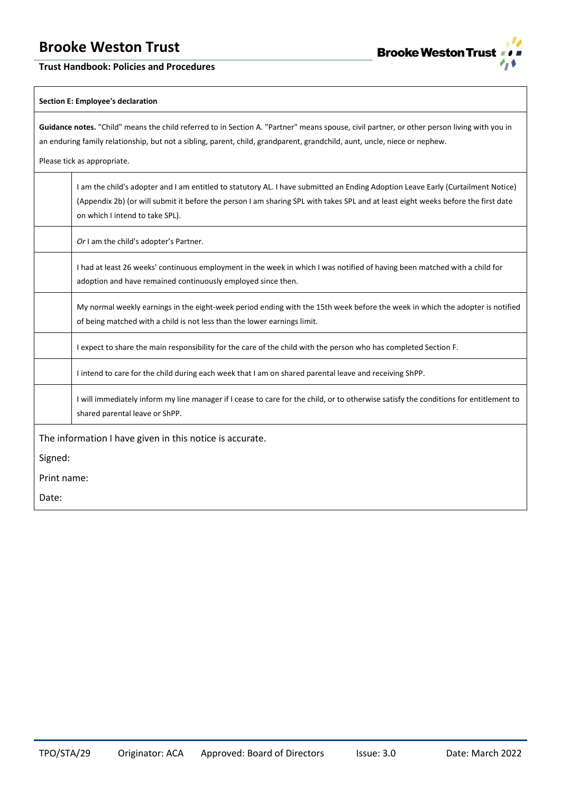**Trust Handbook: Policies and Procedures**



#### **Section E: Employee's declaration**

**Guidance notes.** "Child" means the child referred to in Section A. "Partner" means spouse, civil partner, or other person living with you in an enduring family relationship, but not a sibling, parent, child, grandparent, grandchild, aunt, uncle, niece or nephew.

Please tick as appropriate.

|             | I am the child's adopter and I am entitled to statutory AL. I have submitted an Ending Adoption Leave Early (Curtailment Notice)<br>(Appendix 2b) (or will submit it before the person I am sharing SPL with takes SPL and at least eight weeks before the first date<br>on which I intend to take SPL). |
|-------------|----------------------------------------------------------------------------------------------------------------------------------------------------------------------------------------------------------------------------------------------------------------------------------------------------------|
|             | Or I am the child's adopter's Partner.                                                                                                                                                                                                                                                                   |
|             | I had at least 26 weeks' continuous employment in the week in which I was notified of having been matched with a child for<br>adoption and have remained continuously employed since then.                                                                                                               |
|             | My normal weekly earnings in the eight-week period ending with the 15th week before the week in which the adopter is notified<br>of being matched with a child is not less than the lower earnings limit.                                                                                                |
|             | I expect to share the main responsibility for the care of the child with the person who has completed Section F.                                                                                                                                                                                         |
|             | I intend to care for the child during each week that I am on shared parental leave and receiving ShPP.                                                                                                                                                                                                   |
|             | I will immediately inform my line manager if I cease to care for the child, or to otherwise satisfy the conditions for entitlement to<br>shared parental leave or ShPP.                                                                                                                                  |
|             | The information I have given in this notice is accurate.                                                                                                                                                                                                                                                 |
| Signed:     |                                                                                                                                                                                                                                                                                                          |
| Print name: |                                                                                                                                                                                                                                                                                                          |
| ∩ate∙       |                                                                                                                                                                                                                                                                                                          |

Date: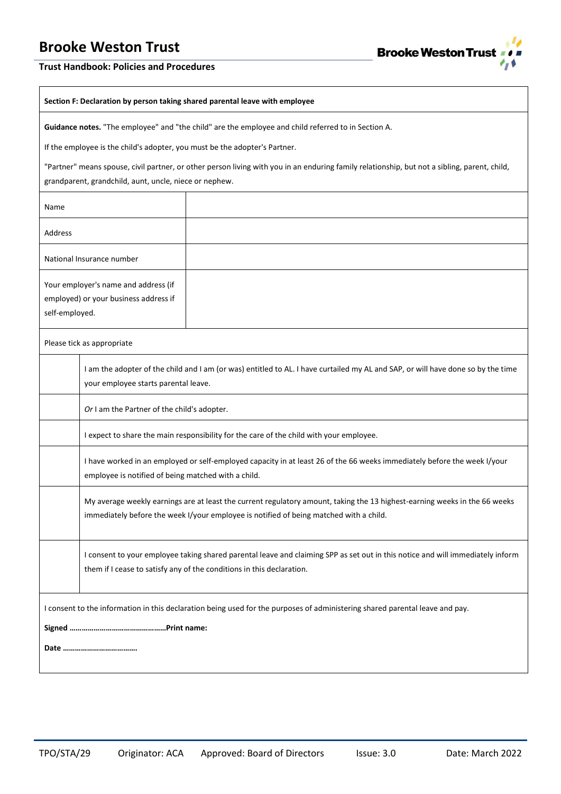

### **Trust Handbook: Policies and Procedures**

#### **Section F: Declaration by person taking shared parental leave with employee**

┱

**Guidance notes.** "The employee" and "the child" are the employee and child referred to in Section A.

If the employee is the child's adopter, you must be the adopter's Partner.

"Partner" means spouse, civil partner, or other person living with you in an enduring family relationship, but not a sibling, parent, child, grandparent, grandchild, aunt, uncle, niece or nephew.

| Name                                                                                                                         |                                                                                                                                                                                                                      |  |
|------------------------------------------------------------------------------------------------------------------------------|----------------------------------------------------------------------------------------------------------------------------------------------------------------------------------------------------------------------|--|
| Address                                                                                                                      |                                                                                                                                                                                                                      |  |
| National Insurance number                                                                                                    |                                                                                                                                                                                                                      |  |
| Your employer's name and address (if<br>employed) or your business address if<br>self-employed.                              |                                                                                                                                                                                                                      |  |
|                                                                                                                              | Please tick as appropriate                                                                                                                                                                                           |  |
|                                                                                                                              | I am the adopter of the child and I am (or was) entitled to AL. I have curtailed my AL and SAP, or will have done so by the time<br>your employee starts parental leave.                                             |  |
|                                                                                                                              | Or I am the Partner of the child's adopter.                                                                                                                                                                          |  |
|                                                                                                                              | I expect to share the main responsibility for the care of the child with your employee.                                                                                                                              |  |
|                                                                                                                              | I have worked in an employed or self-employed capacity in at least 26 of the 66 weeks immediately before the week I/your<br>employee is notified of being matched with a child.                                      |  |
|                                                                                                                              | My average weekly earnings are at least the current regulatory amount, taking the 13 highest-earning weeks in the 66 weeks<br>immediately before the week I/your employee is notified of being matched with a child. |  |
|                                                                                                                              | I consent to your employee taking shared parental leave and claiming SPP as set out in this notice and will immediately inform<br>them if I cease to satisfy any of the conditions in this declaration.              |  |
| I consent to the information in this declaration being used for the purposes of administering shared parental leave and pay. |                                                                                                                                                                                                                      |  |
|                                                                                                                              |                                                                                                                                                                                                                      |  |
|                                                                                                                              |                                                                                                                                                                                                                      |  |
|                                                                                                                              |                                                                                                                                                                                                                      |  |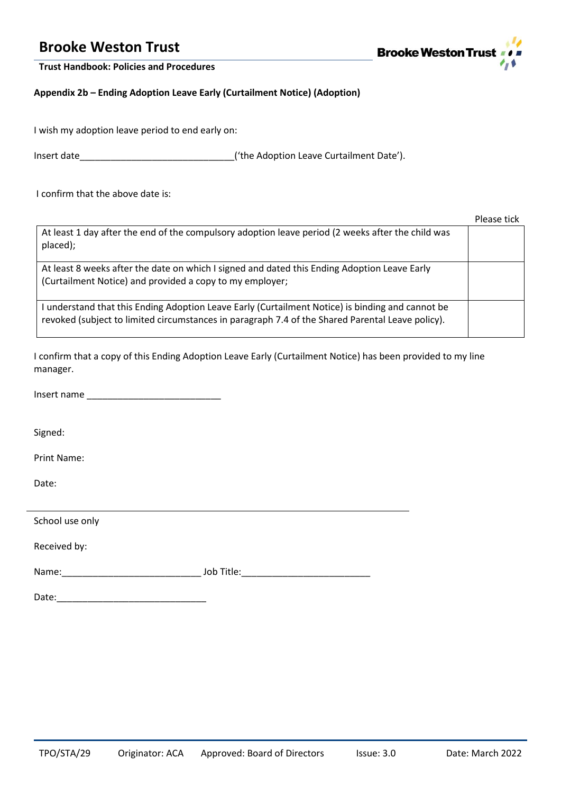

**Trust Handbook: Policies and Procedures**

**Appendix 2b – Ending Adoption Leave Early (Curtailment Notice) (Adoption)**

I wish my adoption leave period to end early on:

Insert date\_\_\_\_\_\_\_\_\_\_\_\_\_\_\_\_\_\_\_\_\_\_\_\_\_\_\_\_\_\_('the Adoption Leave Curtailment Date').

I confirm that the above date is:

|                                                                                                                                                                                                    | Please tick |
|----------------------------------------------------------------------------------------------------------------------------------------------------------------------------------------------------|-------------|
| At least 1 day after the end of the compulsory adoption leave period (2 weeks after the child was<br>placed);                                                                                      |             |
| At least 8 weeks after the date on which I signed and dated this Ending Adoption Leave Early<br>(Curtailment Notice) and provided a copy to my employer;                                           |             |
| understand that this Ending Adoption Leave Early (Curtailment Notice) is binding and cannot be<br>revoked (subject to limited circumstances in paragraph 7.4 of the Shared Parental Leave policy). |             |

I confirm that a copy of this Ending Adoption Leave Early (Curtailment Notice) has been provided to my line manager.

Insert name \_\_\_\_\_\_\_\_\_\_\_\_\_\_\_\_\_\_\_\_\_\_\_\_\_\_

Signed:

Print Name:

Date:

| School use only |            |
|-----------------|------------|
| Received by:    |            |
| Name:           | Job Title: |
| Date:           |            |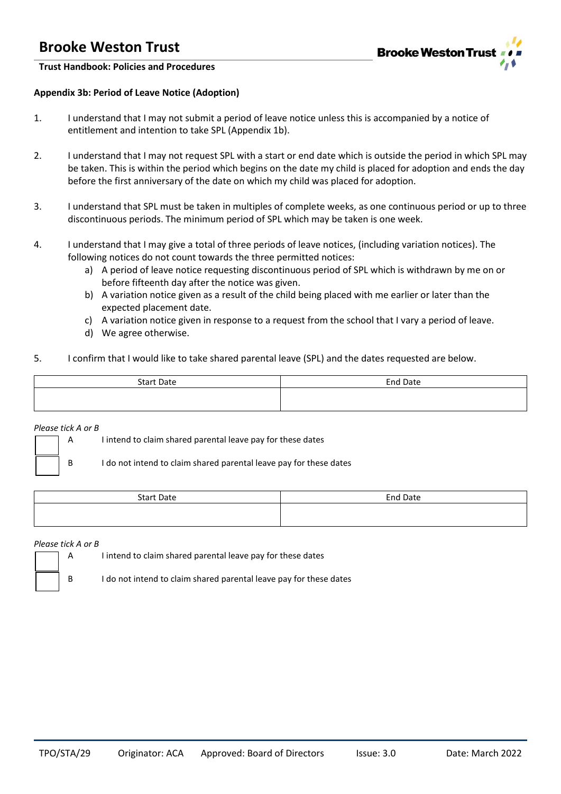

**Trust Handbook: Policies and Procedures**

### **Appendix 3b: Period of Leave Notice (Adoption)**

- 1. I understand that I may not submit a period of leave notice unless this is accompanied by a notice of entitlement and intention to take SPL (Appendix 1b).
- 2. I understand that I may not request SPL with a start or end date which is outside the period in which SPL may be taken. This is within the period which begins on the date my child is placed for adoption and ends the day before the first anniversary of the date on which my child was placed for adoption.
- 3. I understand that SPL must be taken in multiples of complete weeks, as one continuous period or up to three discontinuous periods. The minimum period of SPL which may be taken is one week.
- 4. I understand that I may give a total of three periods of leave notices, (including variation notices). The following notices do not count towards the three permitted notices:
	- a) A period of leave notice requesting discontinuous period of SPL which is withdrawn by me on or before fifteenth day after the notice was given.
	- b) A variation notice given as a result of the child being placed with me earlier or later than the expected placement date.
	- c) A variation notice given in response to a request from the school that I vary a period of leave.
	- d) We agree otherwise.
- 5. I confirm that I would like to take shared parental leave (SPL) and the dates requested are below.

| <b>Start Date</b> | <b>End Date</b> |
|-------------------|-----------------|
|                   |                 |
|                   |                 |

*Please tick A or B*

A I intend to claim shared parental leave pay for these dates

B I do not intend to claim shared parental leave pay for these dates

| <b>Start Date</b> | End Date |
|-------------------|----------|
|                   |          |

#### *Please tick A or B*

A I intend to claim shared parental leave pay for these dates

B I do not intend to claim shared parental leave pay for these dates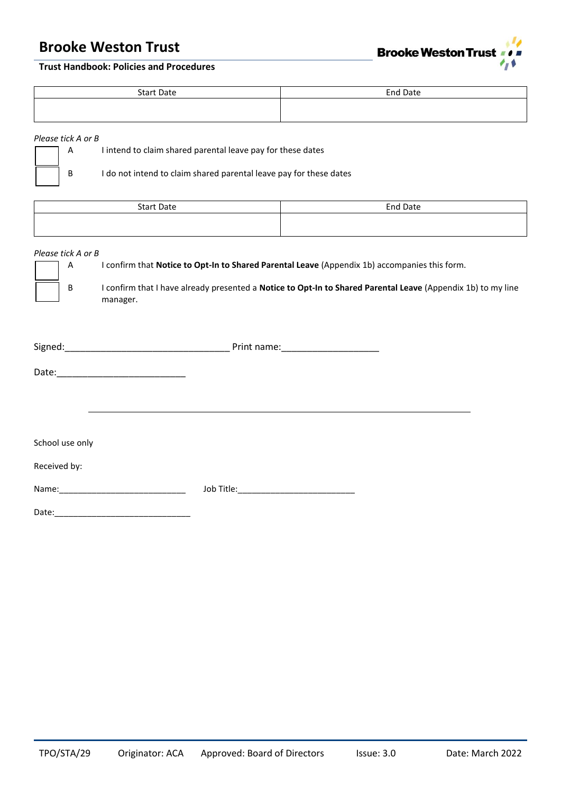

# **Trust Handbook: Policies and Procedures**

| <b>Start Date</b> | End Date |
|-------------------|----------|
|                   |          |

# *Please tick A or B*

| $\parallel$ A | I intend to claim shared parental leave pay for these dates        |
|---------------|--------------------------------------------------------------------|
|               | I do not intend to claim shared parental leave pay for these dates |

| <b>Start Date</b> | <b>End Date</b> |
|-------------------|-----------------|
|                   |                 |

#### *Please tick A or B*

A I confirm that **Notice to Opt-In to Shared Parental Leave** (Appendix 1b) accompanies this form.

B I confirm that I have already presented a **Notice to Opt-In to Shared Parental Leave** (Appendix 1b) to my line manager.

| Signed: | Print name: |
|---------|-------------|
|---------|-------------|

Date:\_\_\_\_\_\_\_\_\_\_\_\_\_\_\_\_\_\_\_\_\_\_\_\_\_

School use only

### Received by:

Name:\_\_\_\_\_\_\_\_\_\_\_\_\_\_\_\_\_\_\_\_\_\_\_\_\_\_\_ Job Title:\_\_\_\_\_\_\_\_\_\_\_\_\_\_\_\_\_\_\_\_\_\_\_\_\_

Date:\_\_\_\_\_\_\_\_\_\_\_\_\_\_\_\_\_\_\_\_\_\_\_\_\_\_\_\_\_